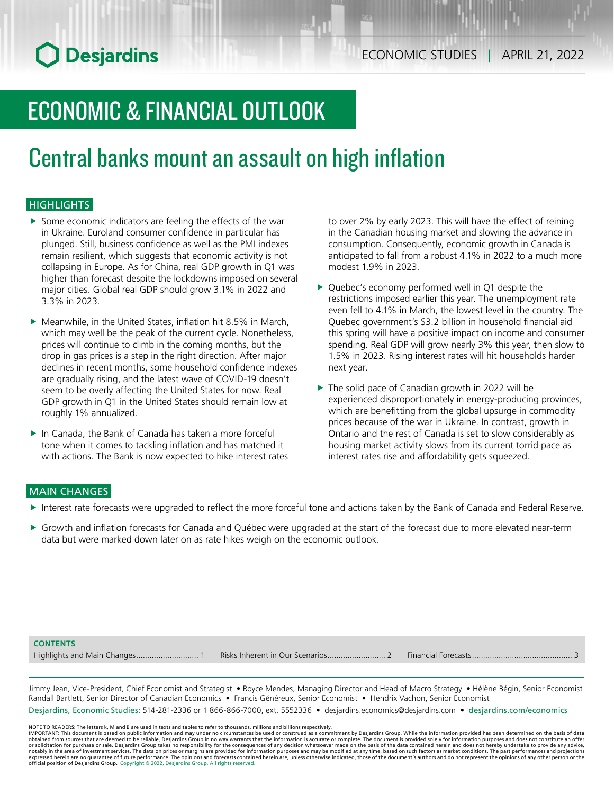# ECONOMIC & FINANCIAL OUTLOOK

## Central banks mount an assault on high inflation

### **HIGHLIGHTS**

- $\triangleright$  Some economic indicators are feeling the effects of the war in Ukraine. Euroland consumer confidence in particular has plunged. Still, business confidence as well as the PMI indexes remain resilient, which suggests that economic activity is not collapsing in Europe. As for China, real GDP growth in Q1 was higher than forecast despite the lockdowns imposed on several major cities. Global real GDP should grow 3.1% in 2022 and 3.3% in 2023.
- $\blacktriangleright$  Meanwhile, in the United States, inflation hit 8.5% in March, which may well be the peak of the current cycle. Nonetheless, prices will continue to climb in the coming months, but the drop in gas prices is a step in the right direction. After major declines in recent months, some household confidence indexes are gradually rising, and the latest wave of COVID-19 doesn't seem to be overly affecting the United States for now. Real GDP growth in Q1 in the United States should remain low at roughly 1% annualized.
- $\blacktriangleright$  In Canada, the Bank of Canada has taken a more forceful tone when it comes to tackling inflation and has matched it with actions. The Bank is now expected to hike interest rates

to over 2% by early 2023. This will have the effect of reining in the Canadian housing market and slowing the advance in consumption. Consequently, economic growth in Canada is anticipated to fall from a robust 4.1% in 2022 to a much more modest 1.9% in 2023.

- $\triangleright$  Quebec's economy performed well in Q1 despite the restrictions imposed earlier this year. The unemployment rate even fell to 4.1% in March, the lowest level in the country. The Quebec government's \$3.2 billion in household financial aid this spring will have a positive impact on income and consumer spending. Real GDP will grow nearly 3% this year, then slow to 1.5% in 2023. Rising interest rates will hit households harder next year.
- $\blacktriangleright$  The solid pace of Canadian growth in 2022 will be experienced disproportionately in energy-producing provinces, which are benefitting from the global upsurge in commodity prices because of the war in Ukraine. In contrast, growth in Ontario and the rest of Canada is set to slow considerably as housing market activity slows from its current torrid pace as interest rates rise and affordability gets squeezed.

#### MAIN CHANGES

- Interest rate forecasts were upgraded to reflect the more forceful tone and actions taken by the Bank of Canada and Federal Reserve.
- Growth and inflation forecasts for Canada and Québec were upgraded at the start of the forecast due to more elevated near-term data but were marked down later on as rate hikes weigh on the economic outlook.

#### **CONTENTS**

Highlights and Main Changes............................ 1 Risks Inherent in Our Scenarios.......................... 2 Financial Forecasts............................................. 3

Jimmy Jean, Vice-President, Chief Economist and Strategist • Royce Mendes, Managing Director and Head of Macro Strategy • Hélène Bégin, Senior Economist Randall Bartlett, Senior Director of Canadian Economics • Francis Généreux, Senior Economist • Hendrix Vachon, Senior Economist

Desjardins, Economic Studies: 514-281-2336 or 1 866-866-7000, ext. 5552336 • desjardins.economics@desjardins.com • [desjardins.com/economics](http://desjardins.com/economics)

NOTE TO READERS: The letters k, M and B are used in texts and tables to refer to thousands, millions and billions respectively.<br>IMPORTANT: This document is based on public information and may under no circumstances be used obtained from sources that are deemed to be reliable, Desjardins Group in no way warrants that the information is accurate or complete. The document is provided solely for information purposes and does not constitute an of expressed herein are no guarantee of future performance. The opinions and forecasts contained herein are, unless otherwise indicated, those of the document's authors and do not represent the opinions of any other person or official position of Desjardins Group. Copyright © 2022, Desjardins Group. All rights reserved.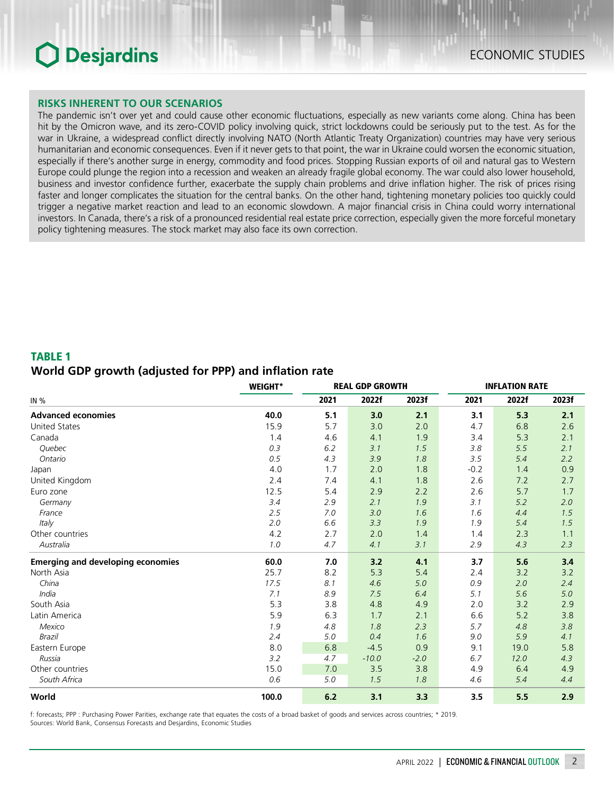#### **RISKS INHERENT TO OUR SCENARIOS**

The pandemic isn't over yet and could cause other economic fluctuations, especially as new variants come along. China has been hit by the Omicron wave, and its zero-COVID policy involving quick, strict lockdowns could be seriously put to the test. As for the war in Ukraine, a widespread conflict directly involving NATO (North Atlantic Treaty Organization) countries may have very serious humanitarian and economic consequences. Even if it never gets to that point, the war in Ukraine could worsen the economic situation, especially if there's another surge in energy, commodity and food prices. Stopping Russian exports of oil and natural gas to Western Europe could plunge the region into a recession and weaken an already fragile global economy. The war could also lower household, business and investor confidence further, exacerbate the supply chain problems and drive inflation higher. The risk of prices rising faster and longer complicates the situation for the central banks. On the other hand, tightening monetary policies too quickly could trigger a negative market reaction and lead to an economic slowdown. A major financial crisis in China could worry international investors. In Canada, there's a risk of a pronounced residential real estate price correction, especially given the more forceful monetary policy tightening measures. The stock market may also face its own correction.

### TABLE 1 *World GDP growth (adjusted for PPP) and inflation rate*

|                                          | <b>WEIGHT*</b> |      | <b>REAL GDP GROWTH</b> |        | <b>INFLATION RATE</b> |       |       |  |
|------------------------------------------|----------------|------|------------------------|--------|-----------------------|-------|-------|--|
| IN %                                     |                | 2021 | 2022f                  | 2023f  | 2021                  | 2022f | 2023f |  |
| <b>Advanced economies</b>                | 40.0           | 5.1  | 3.0                    | 2.1    | 3.1                   | 5.3   | 2.1   |  |
| <b>United States</b>                     | 15.9           | 5.7  | 3.0                    | 2.0    | 4.7                   | 6.8   | 2.6   |  |
| Canada                                   | 1.4            | 4.6  | 4.1                    | 1.9    | 3.4                   | 5.3   | 2.1   |  |
| Quebec                                   | 0.3            | 6.2  | 3.1                    | 1.5    | 3.8                   | 5.5   | 2.1   |  |
| Ontario                                  | 0.5            | 4.3  | 3.9                    | 1.8    | 3.5                   | 5.4   | 2.2   |  |
| Japan                                    | 4.0            | 1.7  | 2.0                    | 1.8    | $-0.2$                | 1.4   | 0.9   |  |
| United Kingdom                           | 2.4            | 7.4  | 4.1                    | 1.8    | 2.6                   | 7.2   | 2.7   |  |
| Euro zone                                | 12.5           | 5.4  | 2.9                    | 2.2    | 2.6                   | 5.7   | 1.7   |  |
| Germany                                  | 3.4            | 2.9  | 2.1                    | 1.9    | 3.1                   | 5.2   | 2.0   |  |
| France                                   | 2.5            | 7.0  | 3.0                    | 1.6    | 1.6                   | 4.4   | 1.5   |  |
| Italy                                    | 2.0            | 6.6  | 3.3                    | 1.9    | 1.9                   | 5.4   | 1.5   |  |
| Other countries                          | 4.2            | 2.7  | 2.0                    | 1.4    | 1.4                   | 2.3   | 1.1   |  |
| Australia                                | 1.0            | 4.7  | 4.1                    | 3.1    | 2.9                   | 4.3   | 2.3   |  |
| <b>Emerging and developing economies</b> | 60.0           | 7.0  | 3.2                    | 4.1    | 3.7                   | 5.6   | 3.4   |  |
| North Asia                               | 25.7           | 8.2  | 5.3                    | 5.4    | 2.4                   | 3.2   | 3.2   |  |
| China                                    | 17.5           | 8.1  | 4.6                    | 5.0    | 0.9                   | 2.0   | 2.4   |  |
| India                                    | 7.1            | 8.9  | 7.5                    | 6.4    | 5.1                   | 5.6   | 5.0   |  |
| South Asia                               | 5.3            | 3.8  | 4.8                    | 4.9    | 2.0                   | 3.2   | 2.9   |  |
| Latin America                            | 5.9            | 6.3  | 1.7                    | 2.1    | 6.6                   | 5.2   | 3.8   |  |
| Mexico                                   | 1.9            | 4.8  | 1.8                    | 2.3    | 5.7                   | 4.8   | 3.8   |  |
| Brazil                                   | 2.4            | 5.0  | 0.4                    | 1.6    | 9.0                   | 5.9   | 4.1   |  |
| Eastern Europe                           | 8.0            | 6.8  | $-4.5$                 | 0.9    | 9.1                   | 19.0  | 5.8   |  |
| Russia                                   | 3.2            | 4.7  | $-10.0$                | $-2.0$ | 6.7                   | 12.0  | 4.3   |  |
| Other countries                          | 15.0           | 7.0  | 3.5                    | 3.8    | 4.9                   | 6.4   | 4.9   |  |
| South Africa                             | 0.6            | 5.0  | 1.5                    | 1.8    | 4.6                   | 5.4   | 4.4   |  |
| World                                    | 100.0          | 6.2  | 3.1                    | 3.3    | 3.5                   | 5.5   | 2.9   |  |

f: forecasts; PPP : Purchasing Power Parities, exchange rate that equates the costs of a broad basket of goods and services across countries; \* 2019. Sources: World Bank, Consensus Forecasts and Desjardins, Economic Studies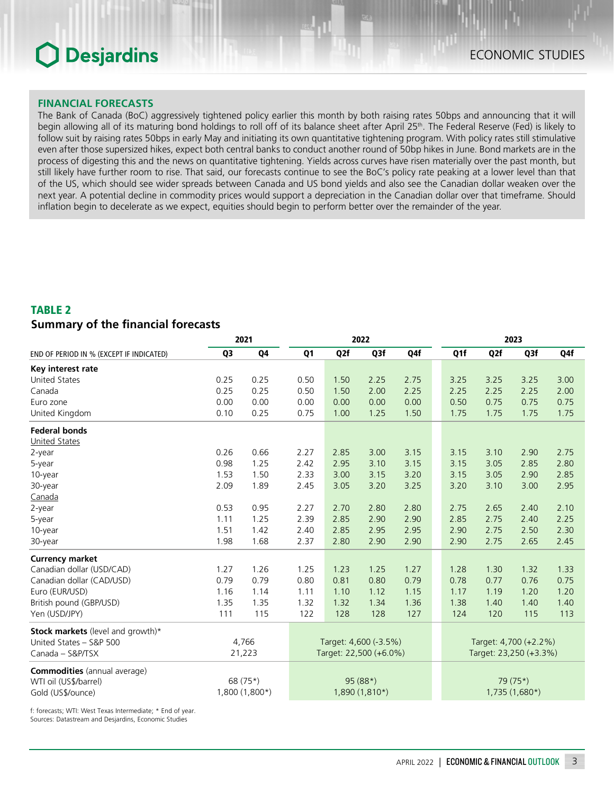#### **FINANCIAL FORECASTS**

The Bank of Canada (BoC) aggressively tightened policy earlier this month by both raising rates 50bps and announcing that it will begin allowing all of its maturing bond holdings to roll off of its balance sheet after April 25th. The Federal Reserve (Fed) is likely to follow suit by raising rates 50bps in early May and initiating its own quantitative tightening program. With policy rates still stimulative even after those supersized hikes, expect both central banks to conduct another round of 50bp hikes in June. Bond markets are in the process of digesting this and the news on quantitative tightening. Yields across curves have risen materially over the past month, but still likely have further room to rise. That said, our forecasts continue to see the BoC's policy rate peaking at a lower level than that of the US, which should see wider spreads between Canada and US bond yields and also see the Canadian dollar weaken over the next year. A potential decline in commodity prices would support a depreciation in the Canadian dollar over that timeframe. Should inflation begin to decelerate as we expect, equities should begin to perform better over the remainder of the year.

### TABLE 2 *Summary of the financial forecasts*

|                                          |                | 2021           | 2022                   |      |                       | 2023 |      |                        |                       |      |
|------------------------------------------|----------------|----------------|------------------------|------|-----------------------|------|------|------------------------|-----------------------|------|
| END OF PERIOD IN % (EXCEPT IF INDICATED) | Q <sub>3</sub> | Q4             | Q <sub>1</sub>         | Q2f  | Q3f                   | Q4f  | Q1f  | Q2f                    | Q3f                   | Q4f  |
| Key interest rate                        |                |                |                        |      |                       |      |      |                        |                       |      |
| <b>United States</b>                     | 0.25           | 0.25           | 0.50                   | 1.50 | 2.25                  | 2.75 | 3.25 | 3.25                   | 3.25                  | 3.00 |
| Canada                                   | 0.25           | 0.25           | 0.50                   | 1.50 | 2.00                  | 2.25 | 2.25 | 2.25                   | 2.25                  | 2.00 |
| Euro zone                                | 0.00           | 0.00           | 0.00                   | 0.00 | 0.00                  | 0.00 | 0.50 | 0.75                   | 0.75                  | 0.75 |
| United Kingdom                           | 0.10           | 0.25           | 0.75                   | 1.00 | 1.25                  | 1.50 | 1.75 | 1.75                   | 1.75                  | 1.75 |
| <b>Federal bonds</b>                     |                |                |                        |      |                       |      |      |                        |                       |      |
| <b>United States</b>                     |                |                |                        |      |                       |      |      |                        |                       |      |
| 2-year                                   | 0.26           | 0.66           | 2.27                   | 2.85 | 3.00                  | 3.15 | 3.15 | 3.10                   | 2.90                  | 2.75 |
| 5-year                                   | 0.98           | 1.25           | 2.42                   | 2.95 | 3.10                  | 3.15 | 3.15 | 3.05                   | 2.85                  | 2.80 |
| 10-year                                  | 1.53           | 1.50           | 2.33                   | 3.00 | 3.15                  | 3.20 | 3.15 | 3.05                   | 2.90                  | 2.85 |
| 30-year                                  | 2.09           | 1.89           | 2.45                   | 3.05 | 3.20                  | 3.25 | 3.20 | 3.10                   | 3.00                  | 2.95 |
| Canada                                   |                |                |                        |      |                       |      |      |                        |                       |      |
| 2-year                                   | 0.53           | 0.95           | 2.27                   | 2.70 | 2.80                  | 2.80 | 2.75 | 2.65                   | 2.40                  | 2.10 |
| 5-year                                   | 1.11           | 1.25           | 2.39                   | 2.85 | 2.90                  | 2.90 | 2.85 | 2.75                   | 2.40                  | 2.25 |
| 10-year                                  | 1.51           | 1.42           | 2.40                   | 2.85 | 2.95                  | 2.95 | 2.90 | 2.75                   | 2.50                  | 2.30 |
| 30-year                                  | 1.98           | 1.68           | 2.37                   | 2.80 | 2.90                  | 2.90 | 2.90 | 2.75                   | 2.65                  | 2.45 |
| <b>Currency market</b>                   |                |                |                        |      |                       |      |      |                        |                       |      |
| Canadian dollar (USD/CAD)                | 1.27           | 1.26           | 1.25                   | 1.23 | 1.25                  | 1.27 | 1.28 | 1.30                   | 1.32                  | 1.33 |
| Canadian dollar (CAD/USD)                | 0.79           | 0.79           | 0.80                   | 0.81 | 0.80                  | 0.79 | 0.78 | 0.77                   | 0.76                  | 0.75 |
| Euro (EUR/USD)                           | 1.16           | 1.14           | 1.11                   | 1.10 | 1.12                  | 1.15 | 1.17 | 1.19                   | 1.20                  | 1.20 |
| British pound (GBP/USD)                  | 1.35           | 1.35           | 1.32                   | 1.32 | 1.34                  | 1.36 | 1.38 | 1.40                   | 1.40                  | 1.40 |
| Yen (USD/JPY)                            | 111            | 115            | 122                    | 128  | 128                   | 127  | 124  | 120                    | 115                   | 113  |
| Stock markets (level and growth)*        |                |                |                        |      |                       |      |      |                        |                       |      |
| United States - S&P 500                  |                | 4,766          |                        |      | Target: 4,600 (-3.5%) |      |      |                        | Target: 4,700 (+2.2%) |      |
| Canada - S&P/TSX                         |                | 21,223         | Target: 22,500 (+6.0%) |      |                       |      |      | Target: 23,250 (+3.3%) |                       |      |
| <b>Commodities</b> (annual average)      |                |                |                        |      |                       |      |      |                        |                       |      |
| WTI oil (US\$/barrel)                    |                | 68 (75*)       |                        |      | 95 (88*)              |      |      |                        | 79 (75*)              |      |
| Gold (US\$/ounce)                        |                | 1,800 (1,800*) |                        |      | 1,890 (1,810*)        |      |      |                        | 1,735 (1,680*)        |      |

f: forecasts; WTI: West Texas Intermediate; \* End of year. Sources: Datastream and Desjardins, Economic Studies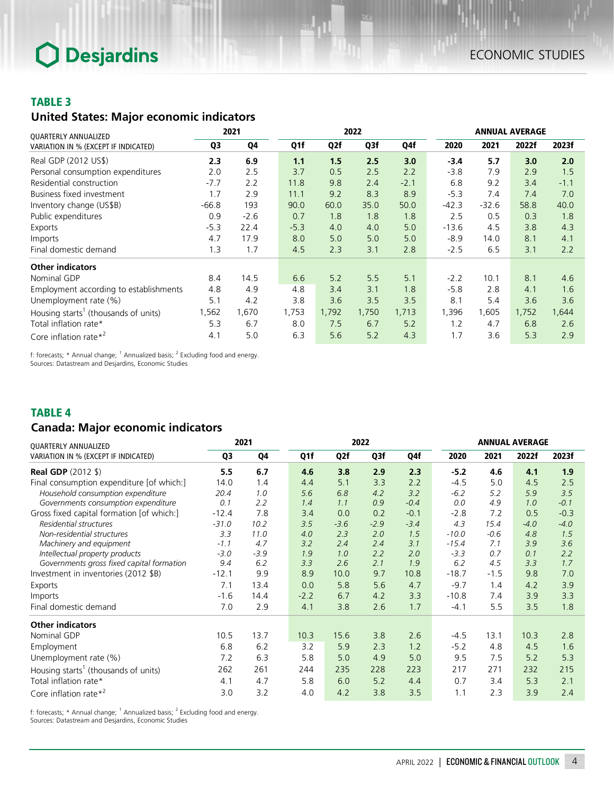### TABLE 3

## *United States: Major economic indicators*

| QUARTERLY ANNUALIZED                             | 2021    |        |        | 2022  |       |        |         | <b>ANNUAL AVERAGE</b> |       |        |  |
|--------------------------------------------------|---------|--------|--------|-------|-------|--------|---------|-----------------------|-------|--------|--|
| VARIATION IN % (EXCEPT IF INDICATED)             | Q3      | Q4     | Q1f    | Q2f   | Q3f   | Q4f    | 2020    | 2021                  | 2022f | 2023f  |  |
| Real GDP (2012 US\$)                             | 2.3     | 6.9    | 1.1    | 1.5   | 2.5   | 3.0    | $-3.4$  | 5.7                   | 3.0   | 2.0    |  |
| Personal consumption expenditures                | 2.0     | 2.5    | 3.7    | 0.5   | 2.5   | 2.2    | $-3.8$  | 7.9                   | 2.9   | 1.5    |  |
| Residential construction                         | $-7.7$  | 2.2    | 11.8   | 9.8   | 2.4   | $-2.1$ | 6.8     | 9.2                   | 3.4   | $-1.1$ |  |
| Business fixed investment                        | 1.7     | 2.9    | 11.1   | 9.2   | 8.3   | 8.9    | $-5.3$  | 7.4                   | 7.4   | 7.0    |  |
| Inventory change (US\$B)                         | $-66.8$ | 193    | 90.0   | 60.0  | 35.0  | 50.0   | $-42.3$ | $-32.6$               | 58.8  | 40.0   |  |
| Public expenditures                              | 0.9     | $-2.6$ | 0.7    | 1.8   | 1.8   | 1.8    | 2.5     | 0.5                   | 0.3   | 1.8    |  |
| Exports                                          | $-5.3$  | 22.4   | $-5.3$ | 4.0   | 4.0   | 5.0    | $-13.6$ | 4.5                   | 3.8   | 4.3    |  |
| Imports                                          | 4.7     | 17.9   | 8.0    | 5.0   | 5.0   | 5.0    | $-8.9$  | 14.0                  | 8.1   | 4.1    |  |
| Final domestic demand                            | 1.3     | 1.7    | 4.5    | 2.3   | 3.1   | 2.8    | $-2.5$  | 6.5                   | 3.1   | 2.2    |  |
| <b>Other indicators</b>                          |         |        |        |       |       |        |         |                       |       |        |  |
| Nominal GDP                                      | 8.4     | 14.5   | 6.6    | 5.2   | 5.5   | 5.1    | $-2.2$  | 10.1                  | 8.1   | 4.6    |  |
| Employment according to establishments           | 4.8     | 4.9    | 4.8    | 3.4   | 3.1   | 1.8    | $-5.8$  | 2.8                   | 4.1   | 1.6    |  |
| Unemployment rate (%)                            | 5.1     | 4.2    | 3.8    | 3.6   | 3.5   | 3.5    | 8.1     | 5.4                   | 3.6   | 3.6    |  |
| Housing starts <sup>1</sup> (thousands of units) | 1,562   | 1,670  | 1,753  | 1,792 | 1,750 | 1,713  | 1,396   | 1,605                 | 1,752 | 1,644  |  |
| Total inflation rate*                            | 5.3     | 6.7    | 8.0    | 7.5   | 6.7   | 5.2    | 1.2     | 4.7                   | 6.8   | 2.6    |  |
| Core inflation rate $*^2$                        | 4.1     | 5.0    | 6.3    | 5.6   | 5.2   | 4.3    | 1.7     | 3.6                   | 5.3   | 2.9    |  |

f: forecasts; \* Annual change;  $^1$  Annualized basis;  $^2$  Excluding food and energy. Sources: Datastream and Desjardins, Economic Studies

### TABLE 4

## *Canada: Major economic indicators*

| QUARTERLY ANNUALIZED                             | 2021    |        | 2022   |        |        |        | <b>ANNUAL AVERAGE</b> |        |        |        |
|--------------------------------------------------|---------|--------|--------|--------|--------|--------|-----------------------|--------|--------|--------|
| VARIATION IN % (EXCEPT IF INDICATED)             | Q3      | Q4     | Q1f    | Q2f    | Q3f    | Q4f    | 2020                  | 2021   | 2022f  | 2023f  |
| <b>Real GDP</b> (2012 \$)                        | 5.5     | 6.7    | 4.6    | 3.8    | 2.9    | 2.3    | $-5.2$                | 4.6    | 4.1    | 1.9    |
| Final consumption expenditure [of which:]        | 14.0    | 1.4    | 4.4    | 5.1    | 3.3    | 2.2    | $-4.5$                | 5.0    | 4.5    | 2.5    |
| Household consumption expenditure                | 20.4    | 1.0    | 5.6    | 6.8    | 4.2    | 3.2    | $-6.2$                | 5.2    | 5.9    | 3.5    |
| Governments consumption expenditure              | 0.1     | 2.2    | 1.4    | 1.1    | 0.9    | $-0.4$ | 0.0                   | 4.9    | 1.0    | $-0.1$ |
| Gross fixed capital formation [of which:]        | $-12.4$ | 7.8    | 3.4    | 0.0    | 0.2    | $-0.1$ | $-2.8$                | 7.2    | 0.5    | $-0.3$ |
| Residential structures                           | $-31.0$ | 10.2   | 3.5    | $-3.6$ | $-2.9$ | $-3.4$ | 4.3                   | 15.4   | $-4.0$ | $-4.0$ |
| Non-residential structures                       | 3.3     | 11.0   | 4.0    | 2.3    | 2.0    | 1.5    | $-10.0$               | $-0.6$ | 4.8    | 1.5    |
| Machinery and equipment                          | $-1.1$  | 4.7    | 3.2    | 2.4    | 2.4    | 3.1    | $-15.4$               | 7.1    | 3.9    | 3.6    |
| Intellectual property products                   | $-3.0$  | $-3.9$ | 1.9    | 1.0    | 2.2    | 2.0    | $-3.3$                | 0.7    | 0.1    | 2.2    |
| Governments gross fixed capital formation        | 9.4     | 6.2    | 3.3    | 2.6    | 2.1    | 1.9    | 6.2                   | 4.5    | 3.3    | 1.7    |
| Investment in inventories (2012 \$B)             | $-12.1$ | 9.9    | 8.9    | 10.0   | 9.7    | 10.8   | $-18.7$               | $-1.5$ | 9.8    | 7.0    |
| Exports                                          | 7.1     | 13.4   | 0.0    | 5.8    | 5.6    | 4.7    | $-9.7$                | 1.4    | 4.2    | 3.9    |
| Imports                                          | $-1.6$  | 14.4   | $-2.2$ | 6.7    | 4.2    | 3.3    | $-10.8$               | 7.4    | 3.9    | 3.3    |
| Final domestic demand                            | 7.0     | 2.9    | 4.1    | 3.8    | 2.6    | 1.7    | $-4.1$                | 5.5    | 3.5    | 1.8    |
| <b>Other indicators</b>                          |         |        |        |        |        |        |                       |        |        |        |
| Nominal GDP                                      | 10.5    | 13.7   | 10.3   | 15.6   | 3.8    | 2.6    | $-4.5$                | 13.1   | 10.3   | 2.8    |
| Employment                                       | 6.8     | 6.2    | 3.2    | 5.9    | 2.3    | 1.2    | $-5.2$                | 4.8    | 4.5    | 1.6    |
| Unemployment rate (%)                            | 7.2     | 6.3    | 5.8    | 5.0    | 4.9    | 5.0    | 9.5                   | 7.5    | 5.2    | 5.3    |
| Housing starts <sup>1</sup> (thousands of units) | 262     | 261    | 244    | 235    | 228    | 223    | 217                   | 271    | 232    | 215    |
| Total inflation rate*                            | 4.1     | 4.7    | 5.8    | 6.0    | 5.2    | 4.4    | 0.7                   | 3.4    | 5.3    | 2.1    |
| Core inflation rate $*^2$                        | 3.0     | 3.2    | 4.0    | 4.2    | 3.8    | 3.5    | 1.1                   | 2.3    | 3.9    | 2.4    |

f: forecasts;  $*$  Annual change;  $<sup>1</sup>$  Annualized basis;  $<sup>2</sup>$  Excluding food and energy.</sup></sup> Sources: Datastream and Desjardins, Economic Studies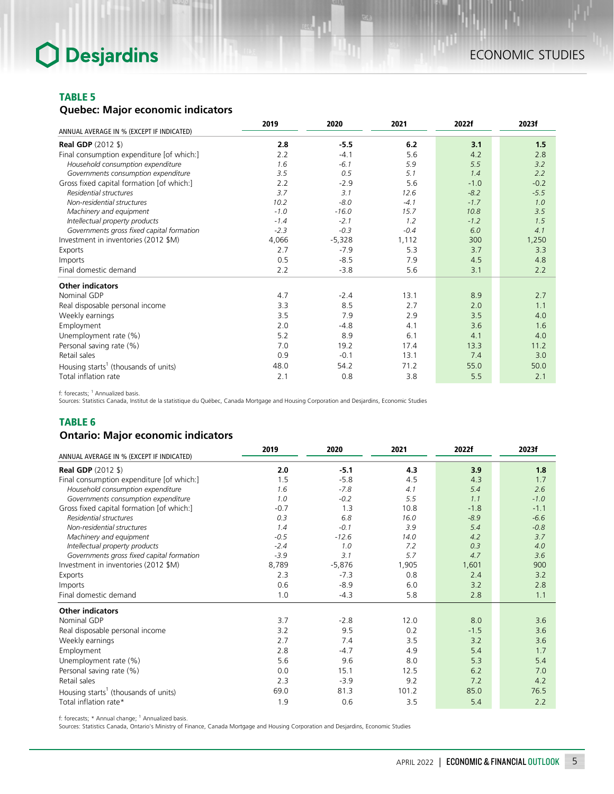#### TABLE 5

### *Quebec: Major economic indicators*

|                                                  | 2019   | 2020     | 2021   | 2022f  | 2023f  |
|--------------------------------------------------|--------|----------|--------|--------|--------|
| ANNUAL AVERAGE IN % (EXCEPT IF INDICATED)        |        |          |        |        |        |
| <b>Real GDP</b> (2012 \$)                        | 2.8    | $-5.5$   | 6.2    | 3.1    | 1.5    |
| Final consumption expenditure [of which:]        | 2.2    | $-4.1$   | 5.6    | 4.2    | 2.8    |
| Household consumption expenditure                | 1.6    | $-6.1$   | 5.9    | 5.5    | 3.2    |
| Governments consumption expenditure              | 3.5    | 0.5      | 5.1    | 1.4    | 2.2    |
| Gross fixed capital formation [of which:]        | 2.2    | $-2.9$   | 5.6    | $-1.0$ | $-0.2$ |
| Residential structures                           | 3.7    | 3.1      | 12.6   | $-8.2$ | $-5.5$ |
| Non-residential structures                       | 10.2   | $-8.0$   | $-4.1$ | $-1.7$ | 1.0    |
| Machinery and equipment                          | $-1.0$ | $-16.0$  | 15.7   | 10.8   | 3.5    |
| Intellectual property products                   | $-1.4$ | $-2.1$   | 1.2    | $-1.2$ | 1.5    |
| Governments gross fixed capital formation        | $-2.3$ | $-0.3$   | $-0.4$ | 6.0    | 4.1    |
| Investment in inventories (2012 \$M)             | 4,066  | $-5,328$ | 1,112  | 300    | 1,250  |
| Exports                                          | 2.7    | $-7.9$   | 5.3    | 3.7    | 3.3    |
| Imports                                          | 0.5    | $-8.5$   | 7.9    | 4.5    | 4.8    |
| Final domestic demand                            | 2.2    | $-3.8$   | 5.6    | 3.1    | 2.2    |
| <b>Other indicators</b>                          |        |          |        |        |        |
| Nominal GDP                                      | 4.7    | $-2.4$   | 13.1   | 8.9    | 2.7    |
| Real disposable personal income                  | 3.3    | 8.5      | 2.7    | 2.0    | 1.1    |
| Weekly earnings                                  | 3.5    | 7.9      | 2.9    | 3.5    | 4.0    |
| Employment                                       | 2.0    | $-4.8$   | 4.1    | 3.6    | 1.6    |
| Unemployment rate (%)                            | 5.2    | 8.9      | 6.1    | 4.1    | 4.0    |
| Personal saving rate (%)                         | 7.0    | 19.2     | 17.4   | 13.3   | 11.2   |
| Retail sales                                     | 0.9    | $-0.1$   | 13.1   | 7.4    | 3.0    |
| Housing starts <sup>1</sup> (thousands of units) | 48.0   | 54.2     | 71.2   | 55.0   | 50.0   |
| Total inflation rate                             | 2.1    | 0.8      | 3.8    | 5.5    | 2.1    |

f: forecasts; <sup>1</sup> Annualized basis.<br>Sources: Statistics Canada, Institut de la statistique du Québec, Canada Mortgage and Housing Corporation and Desjardins, Economic Studies

#### TABLE 6

### *Ontario: Major economic indicators*

| ANNUAL AVERAGE IN % (EXCEPT IF INDICATED)        | 2019   | 2020     | 2021  | 2022f  | 2023f  |
|--------------------------------------------------|--------|----------|-------|--------|--------|
| <b>Real GDP</b> (2012 \$)                        | 2.0    | $-5.1$   | 4.3   | 3.9    | 1.8    |
| Final consumption expenditure [of which:]        | 1.5    | $-5.8$   | 4.5   | 4.3    | 1.7    |
| Household consumption expenditure                | 1.6    | $-7.8$   | 4.1   | 5.4    | 2.6    |
| Governments consumption expenditure              | 1.0    | $-0.2$   | 5.5   | 1.1    | $-1.0$ |
| Gross fixed capital formation [of which:]        | $-0.7$ | 1.3      | 10.8  | $-1.8$ | $-1.1$ |
| Residential structures                           | 0.3    | 6.8      | 16.0  | $-8.9$ | $-6.6$ |
| Non-residential structures                       | 1.4    | $-0.1$   | 3.9   | 5.4    | $-0.8$ |
| Machinery and equipment                          | $-0.5$ | $-12.6$  | 14.0  | 4.2    | 3.7    |
| Intellectual property products                   | $-2.4$ | 1.0      | 7.2   | 0.3    | 4.0    |
| Governments gross fixed capital formation        | $-3.9$ | 3.1      | 5.7   | 4.7    | 3.6    |
| Investment in inventories (2012 \$M)             | 8,789  | $-5,876$ | 1,905 | 1,601  | 900    |
| Exports                                          | 2.3    | $-7.3$   | 0.8   | 2.4    | 3.2    |
| Imports                                          | 0.6    | $-8.9$   | 6.0   | 3.2    | 2.8    |
| Final domestic demand                            | 1.0    | $-4.3$   | 5.8   | 2.8    | 1.1    |
| <b>Other indicators</b>                          |        |          |       |        |        |
| Nominal GDP                                      | 3.7    | $-2.8$   | 12.0  | 8.0    | 3.6    |
| Real disposable personal income                  | 3.2    | 9.5      | 0.2   | $-1.5$ | 3.6    |
| Weekly earnings                                  | 2.7    | 7.4      | 3.5   | 3.2    | 3.6    |
| Employment                                       | 2.8    | $-4.7$   | 4.9   | 5.4    | 1.7    |
| Unemployment rate (%)                            | 5.6    | 9.6      | 8.0   | 5.3    | 5.4    |
| Personal saving rate (%)                         | 0.0    | 15.1     | 12.5  | 6.2    | 7.0    |
| Retail sales                                     | 2.3    | $-3.9$   | 9.2   | 7.2    | 4.2    |
| Housing starts <sup>1</sup> (thousands of units) | 69.0   | 81.3     | 101.2 | 85.0   | 76.5   |
| Total inflation rate*                            | 1.9    | 0.6      | 3.5   | 5.4    | 2.2    |

f: forecasts; \* Annual change; <sup>1</sup> Annualized basis.<br>Sources: Statistics Canada, Ontario's Ministry of Finance, Canada Mortgage and Housing Corporation and Desjardins, Economic Studies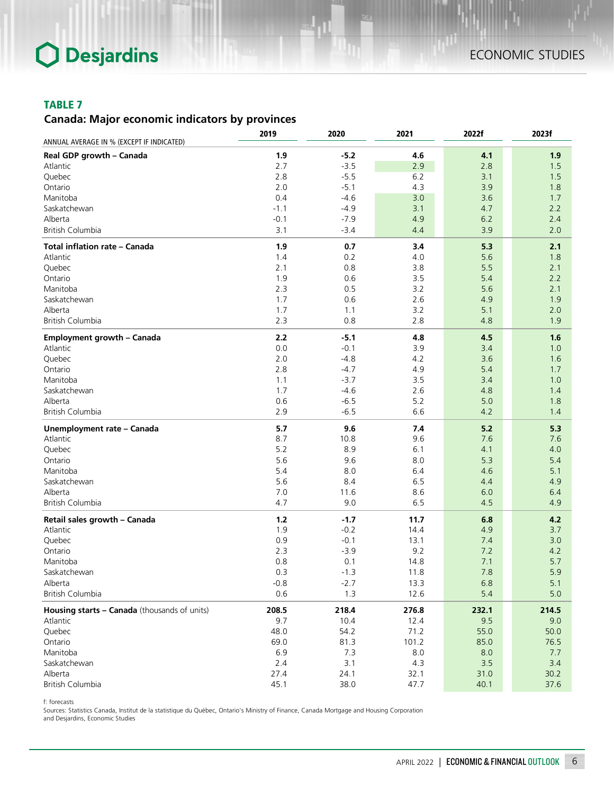#### TABLE 7

## *Canada: Major economic indicators by provinces*

|                                              | 2019   | 2020   | 2021  | 2022f | 2023f |
|----------------------------------------------|--------|--------|-------|-------|-------|
| ANNUAL AVERAGE IN % (EXCEPT IF INDICATED)    |        |        |       |       |       |
| Real GDP growth - Canada                     | 1.9    | $-5.2$ | 4.6   | 4.1   | 1.9   |
| Atlantic                                     | 2.7    | $-3.5$ | 2.9   | 2.8   | 1.5   |
| Quebec                                       | 2.8    | $-5.5$ | $6.2$ | 3.1   | 1.5   |
| Ontario                                      | 2.0    | $-5.1$ | 4.3   | 3.9   | 1.8   |
| Manitoba                                     | 0.4    | $-4.6$ | 3.0   | 3.6   | 1.7   |
| Saskatchewan                                 | $-1.1$ | $-4.9$ | 3.1   | 4.7   | 2.2   |
| Alberta                                      | $-0.1$ | $-7.9$ | 4.9   | 6.2   | 2.4   |
| British Columbia                             | 3.1    | $-3.4$ | 4.4   | 3.9   | 2.0   |
| Total inflation rate - Canada                | 1.9    | 0.7    | 3.4   | 5.3   | 2.1   |
| Atlantic                                     | 1.4    | 0.2    | 4.0   | 5.6   | 1.8   |
| Quebec                                       | 2.1    | 0.8    | 3.8   | 5.5   | 2.1   |
| Ontario                                      | 1.9    | 0.6    | 3.5   | 5.4   | 2.2   |
| Manitoba                                     | 2.3    | 0.5    | 3.2   | 5.6   | 2.1   |
| Saskatchewan                                 | 1.7    | 0.6    | 2.6   | 4.9   | 1.9   |
| Alberta                                      | 1.7    | 1.1    | 3.2   | 5.1   | 2.0   |
| British Columbia                             | 2.3    | 0.8    | 2.8   | 4.8   | 1.9   |
| <b>Employment growth - Canada</b>            | 2.2    | $-5.1$ | 4.8   | 4.5   | 1.6   |
| Atlantic                                     | 0.0    | $-0.1$ | 3.9   | 3.4   | 1.0   |
| Quebec                                       | 2.0    | $-4.8$ | 4.2   | 3.6   | 1.6   |
| Ontario                                      | 2.8    | $-4.7$ | 4.9   | 5.4   | 1.7   |
| Manitoba                                     | 1.1    | $-3.7$ | 3.5   | 3.4   | 1.0   |
| Saskatchewan                                 | 1.7    | $-4.6$ | 2.6   | 4.8   | 1.4   |
| Alberta                                      | 0.6    | $-6.5$ | 5.2   | 5.0   | 1.8   |
| <b>British Columbia</b>                      | 2.9    | $-6.5$ | 6.6   | 4.2   | 1.4   |
|                                              | 5.7    | 9.6    | 7.4   | 5.2   | 5.3   |
| Unemployment rate - Canada                   |        |        |       |       |       |
| Atlantic                                     | 8.7    | 10.8   | 9.6   | 7.6   | 7.6   |
| Quebec                                       | 5.2    | 8.9    | 6.1   | 4.1   | 4.0   |
| Ontario                                      | 5.6    | 9.6    | 8.0   | 5.3   | 5.4   |
| Manitoba                                     | 5.4    | 8.0    | 6.4   | 4.6   | 5.1   |
| Saskatchewan                                 | 5.6    | 8.4    | 6.5   | 4.4   | 4.9   |
| Alberta                                      | 7.0    | 11.6   | 8.6   | 6.0   | 6.4   |
| British Columbia                             | 4.7    | 9.0    | 6.5   | 4.5   | 4.9   |
| Retail sales growth - Canada                 | $1.2$  | $-1.7$ | 11.7  | 6.8   | 4.2   |
| Atlantic                                     | 1.9    | $-0.2$ | 14.4  | 4.9   | 3.7   |
| Quebec                                       | 0.9    | $-0.1$ | 13.1  | 7.4   | 3.0   |
| Ontario                                      | 2.3    | $-3.9$ | 9.2   | 7.2   | 4.2   |
| Manitoba                                     | 0.8    | 0.1    | 14.8  | 7.1   | 5.7   |
| Saskatchewan                                 | 0.3    | $-1.3$ | 11.8  | 7.8   | 5.9   |
| Alberta                                      | $-0.8$ | $-2.7$ | 13.3  | 6.8   | $5.1$ |
| British Columbia                             | 0.6    | 1.3    | 12.6  | 5.4   | 5.0   |
| Housing starts - Canada (thousands of units) | 208.5  | 218.4  | 276.8 | 232.1 | 214.5 |
| Atlantic                                     | 9.7    | 10.4   | 12.4  | 9.5   | 9.0   |
| Quebec                                       | 48.0   | 54.2   | 71.2  | 55.0  | 50.0  |
| Ontario                                      | 69.0   | 81.3   | 101.2 | 85.0  | 76.5  |
| Manitoba                                     | 6.9    | 7.3    | 8.0   | 8.0   | 7.7   |
| Saskatchewan                                 | 2.4    | 3.1    | 4.3   | 3.5   | 3.4   |
| Alberta                                      | 27.4   | 24.1   | 32.1  | 31.0  | 30.2  |
| British Columbia                             | 45.1   | 38.0   | 47.7  | 40.1  | 37.6  |

f: forecasts

Sources: Statistics Canada, Institut de la statistique du Québec, Ontario's Ministry of Finance, Canada Mortgage and Housing Corporation and Desjardins, Economic Studies